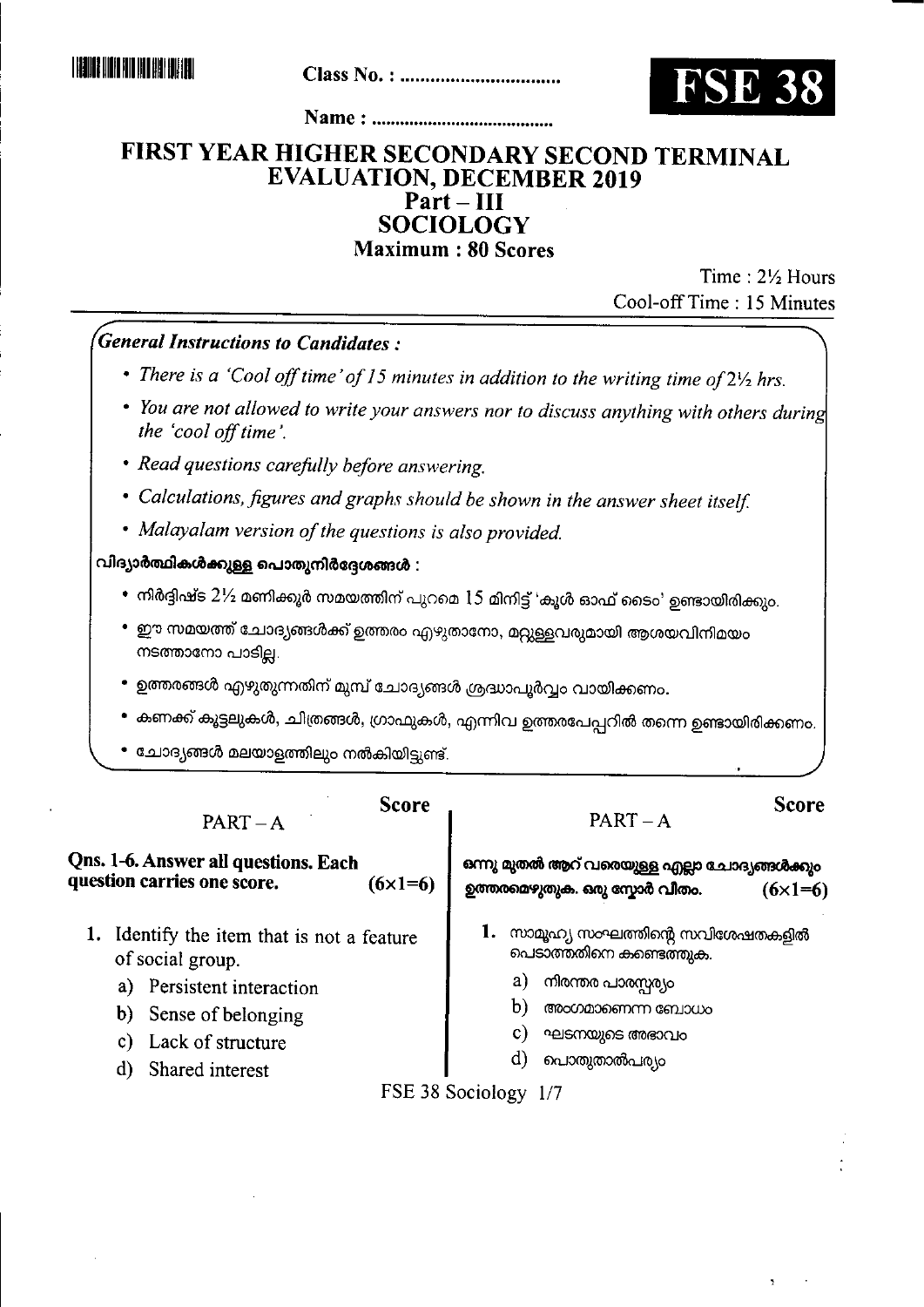

## FIRST YEAR HIGHER SECONDARY SECOND TERMINAL **EVALUATION, DECEMBER 2019** Part-III **SOCIOLOGY Maximum: 80 Scores**

Time: 21/2 Hours Cool-off Time: 15 Minutes

**General Instructions to Candidates:** 

- There is a 'Cool off time' of 15 minutes in addition to the writing time of  $2\frac{1}{2}$  hrs.
- You are not allowed to write your answers nor to discuss anything with others during the 'cool off time'.
- Read questions carefully before answering.
- Calculations, figures and graphs should be shown in the answer sheet itself.
- Malayalam version of the questions is also provided.

വിദ്യാർത്ഥികൾക്കുള്ള പൊതുനിർദ്ദേശങ്ങൾ :

- $\bullet$  നിർദ്ദിഷ്ട  $2\%$  മണിക്കൂർ സമയത്തിന് പുറമെ  $15$  മിനിട്ട് 'കൂൾ ഓഫ് ടൈം' ഉണ്ടായിരിക്കും.
- ഈ സമയത്ത് ചോദ്യങ്ങൾക്ക് ഉത്തരം എഴുതാനോ, മറ്റുള്ളവരുമായി ആശയവിനിമയം നടത്താനോ പാടില്ല.
- ഉത്തരങ്ങൾ എഴുതുന്നതിന് മുമ്പ് ചോദ്യങ്ങൾ ശ്രദ്ധാപൂർവ്വം വായിക്കണം.
- കണക്ക് കൂട്ടലുകൾ, ചിത്രങ്ങൾ, ഗ്രാഫുകൾ, എന്നിവ ഉത്തരപേപ്പറിൽ തന്നെ ഉണ്ടായിരിക്കണം.
- ചോദ്യങ്ങൾ മലയാളത്തിലും നൽകിയിട്ടുണ്ട്.

 $PART - A$ 

Qns. 1-6. Answer all questions. Each question carries one score.  $(6 \times 1 = 6)$ 

1. Identify the item that is not a feature of social group.

- a) Persistent interaction
- b) Sense of belonging
- c) Lack of structure
- d) Shared interest

**Score** 

 $PART-A$ 

**Score** 

ഒന്നു മുതൽ ആറ് വരെയുള്ള എല്ലാ ചോദ്യങ്ങൾക്കും ഉത്തരമെഴുതുക. ഒരു സ്പോർ വീതം.  $(6 \times 1 = 6)$ 

- 1. സാമൂഹ്യ സംഘത്തിന്റെ സവിശേഷതകളിൽ പെടാത്തതിനെ കണ്ടെത്തുക.
	- a) നിരന്തര പാരസ്സര്യം
	- b) അംഗമാണെന്ന ബോധം
	- $\mathbf{c}$ ഘടനയുടെ അഭാവം
	- d) പൊതുതാൽപര്യം

FSE 38 Sociology 1/7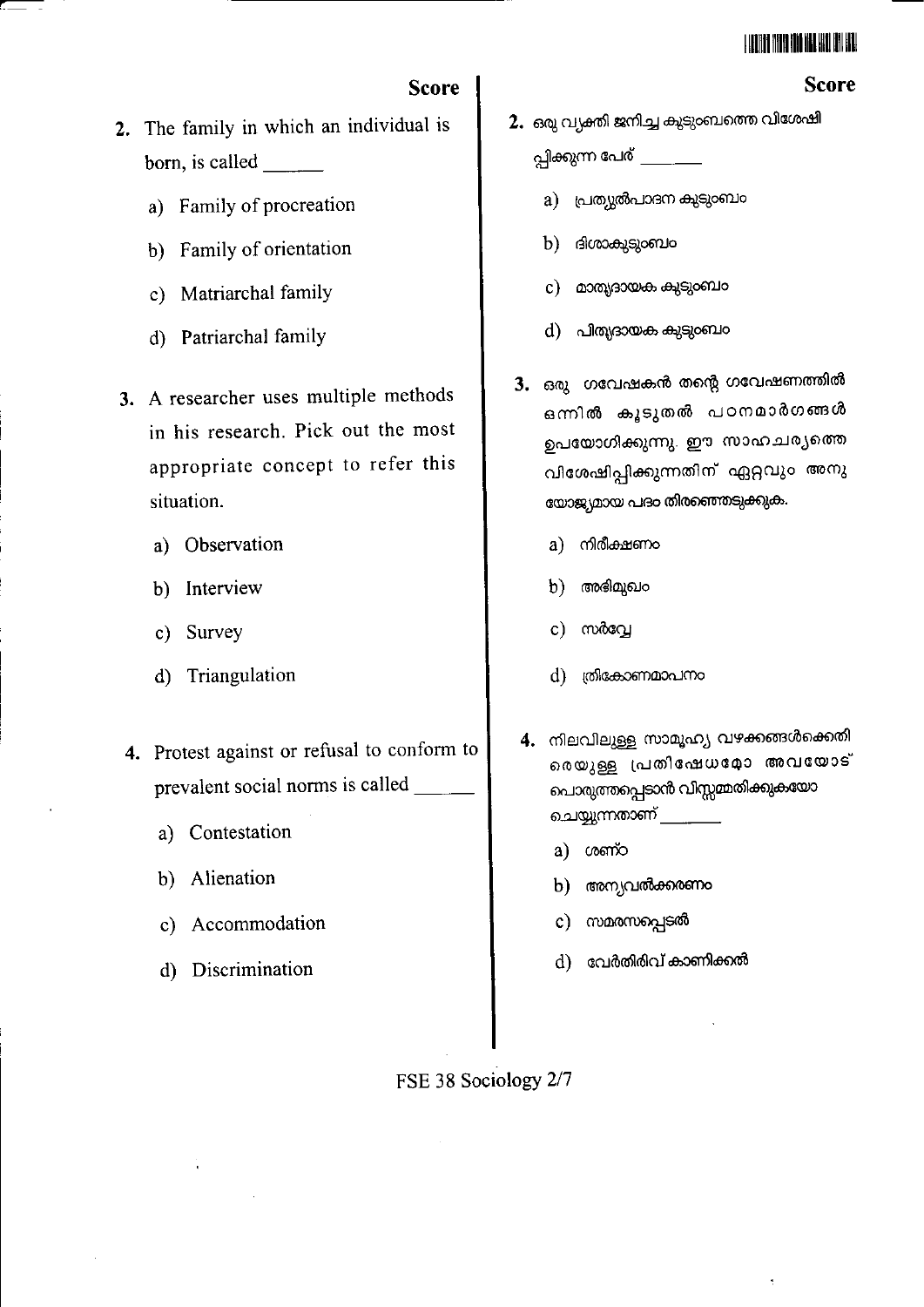### L LEONI O MARIO MODERNA LLA LI DI LLA L

**Score** 

# **Score**

- 2. The family in which an individual is born, is called  $\qquad$ 
	- a) Family of procreation
	- b) Family of orientation
	- c) Matriarchal family
	- d) Patriarchal family
- 3. A researcher uses multiple methods in his research. Pick out the most appropriate concept to refer this situation.
	- a) Observation
	- b) Interview
	- c) Survey
	- Triangulation  $\mathbf{d}$
- 4. Protest against or refusal to conform to prevalent social norms is called \_
	- a) Contestation
	- b) Alienation
	- c) Accommodation
	- d) Discrimination
- 2. ഒരു വ്യക്തി ജനിച്ച കുടുംബത്തെ വിശേഷി പ്പിക്കുന്ന പേര് \_\_\_\_\_\_\_\_
	- a) പ്രത്യൂൽപാദന കുടുംബം
	- ദിശാകുടുംബം  $b)$
	- c) മാതൃദായക കുടുംബം
	- d) പിത്യദായക കുടുംബം
- 3. ഒരു ഗവേഷകൻ തന്റെ ഗവേഷണത്തിൽ ഒന്നിൽ കൂടുതൽ പഠനമാർഗങ്ങൾ ഉപയോഗിക്കുന്നു. ഈ സാഹചര്യത്തെ വിശേഷിപ്പിക്കുന്നതിന് ഏറ്റവും അനു യോജ്യമായ പദം തിരഞ്ഞെടുക്കുക.
	- നിരീക്ഷണം a)
	- അഭിമുഖം b)
	- സർവ്വേ  $\mathbf{c}$ )
	- d) തികോണമാപനം
- 4. നിലവിലുള്ള സാമൂഹ്യ വഴക്കങ്ങൾക്കെതി രെയുള്ള പ്രതിഷേധമോ അവയോട് പൊരുത്തപ്പെടാൻ വിസ്സമ്മതിക്കുകയോ ചെയ്യുന്നതാണ് \_\_\_\_\_\_\_
	- a) compo
	- b) അന്യവൽക്കരണം
	- c) സമരസപ്പെടൽ
	- വേർതിരിവ് കാണിക്കൽ d)

FSE 38 Sociology 2/7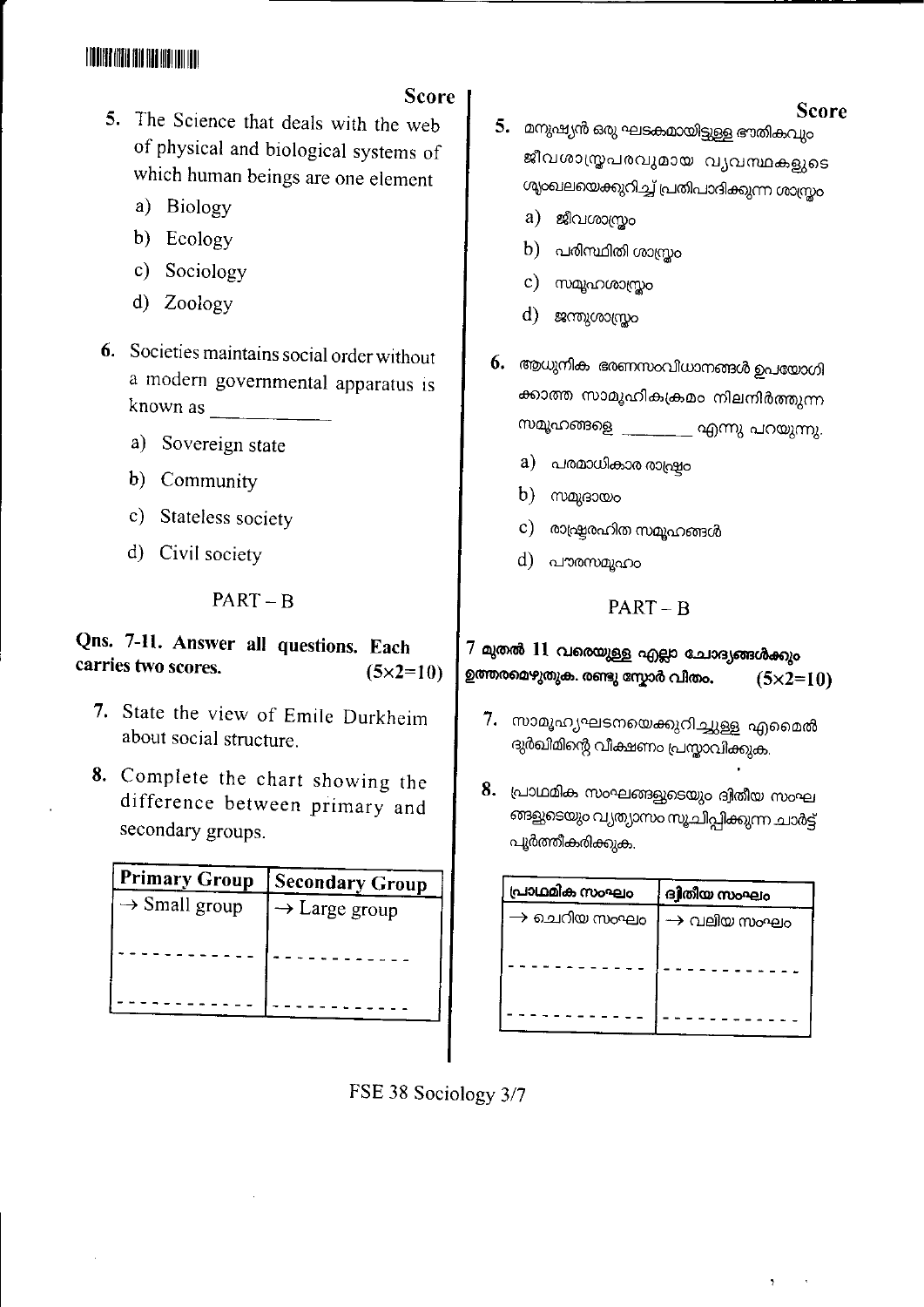## **TOORE AND AND AND WALLET**

# **Score**

- 5. The Science that deals with the web of physical and biological systems of which human beings are one element
	- a) Biology
	- b) Ecology
	- c) Sociology
	- d) Zoology
- 6. Societies maintains social order without a modern governmental apparatus is known as
	- a) Sovereign state
	- b) Community
	- c) Stateless society
	- d) Civil society

## $PART - B$

#### Qns. 7-11. Answer all questions. Each carries two scores.  $(5 \times 2 = 10)$

- 7. State the view of Emile Durkheim about social structure.
- 8. Complete the chart showing the difference between primary and secondary groups.

| Primary Group             | <b>Secondary Group</b>    |
|---------------------------|---------------------------|
| $\rightarrow$ Small group | $\rightarrow$ Large group |
|                           |                           |

- 5. മനുഷ്യൻ ഒരു ഘടകമായിട്ടുള്ള ഭൗതികവും ജീവശാസ്ത്രപരവുമായ വ്യവസ്ഥകളുടെ ശ്യംഖലയെക്കുറിച്ച് പ്രതിപാദിക്കുന്ന ശാസ്ത്രം
	- a) ജീവശാസ്ത്രം
	- $b)$  പരിസ്ഥിതി ശാസ്രം
	- c) സമൂഹശാസ്രം
	- $d)$  ജന്തുശാസ്രം
- 6. ആധുനിക ഭരണസംവിധാനങ്ങൾ ഉപയോഗി ക്കാത്ത സാമൂഹികക്രമം നിലനിർത്തുന്ന സമൂഹങ്ങളെ \_\_\_\_\_\_\_\_ എന്നു പറയുന്നു.
	- a) പരമാധികാര രാഷ്ട്രം
	- $b)$  maxes  $\infty$
	- $\,$   $\,$   $\,$  രാഷ്രരഹിത സമൂഹങ്ങൾ
	- d) പൗരസമൂഹം

## $PART - B$

 $7$  മുതൽ  $11$  വരെയുള്ള എല്ലാ ചോദ്യങ്ങൾക്കും ഉത്തരമെഴുതുക. രണ്ടു സ്കോർ വീതം.  $(5 \times 2 = 10)$ 

- 7. സാമൂഹ്യഘടനയെക്കുറിച്ചുള്ള എമൈൽ ദുർഖിമിന്റെ വീക്ഷണം പ്രസ്താവിക്കുക.
- 8. പ്രാഥമിക സംഘങ്ങളുടെയും ദ്വിതീയ സംഘ ങ്ങളുടെയും വ്യത്യാസം സൂചിപ്പിക്കുന്ന ചാർട്ട് പൂർത്തീകരിക്കുക.

| പ്രാഥമിക സംഘം            | ദ്വിതീയ സംഘം            |
|--------------------------|-------------------------|
| $\rightarrow$ ചെറിയ സംഘം | $\rightarrow$ വലിയ സംഘം |
|                          |                         |



## **Score**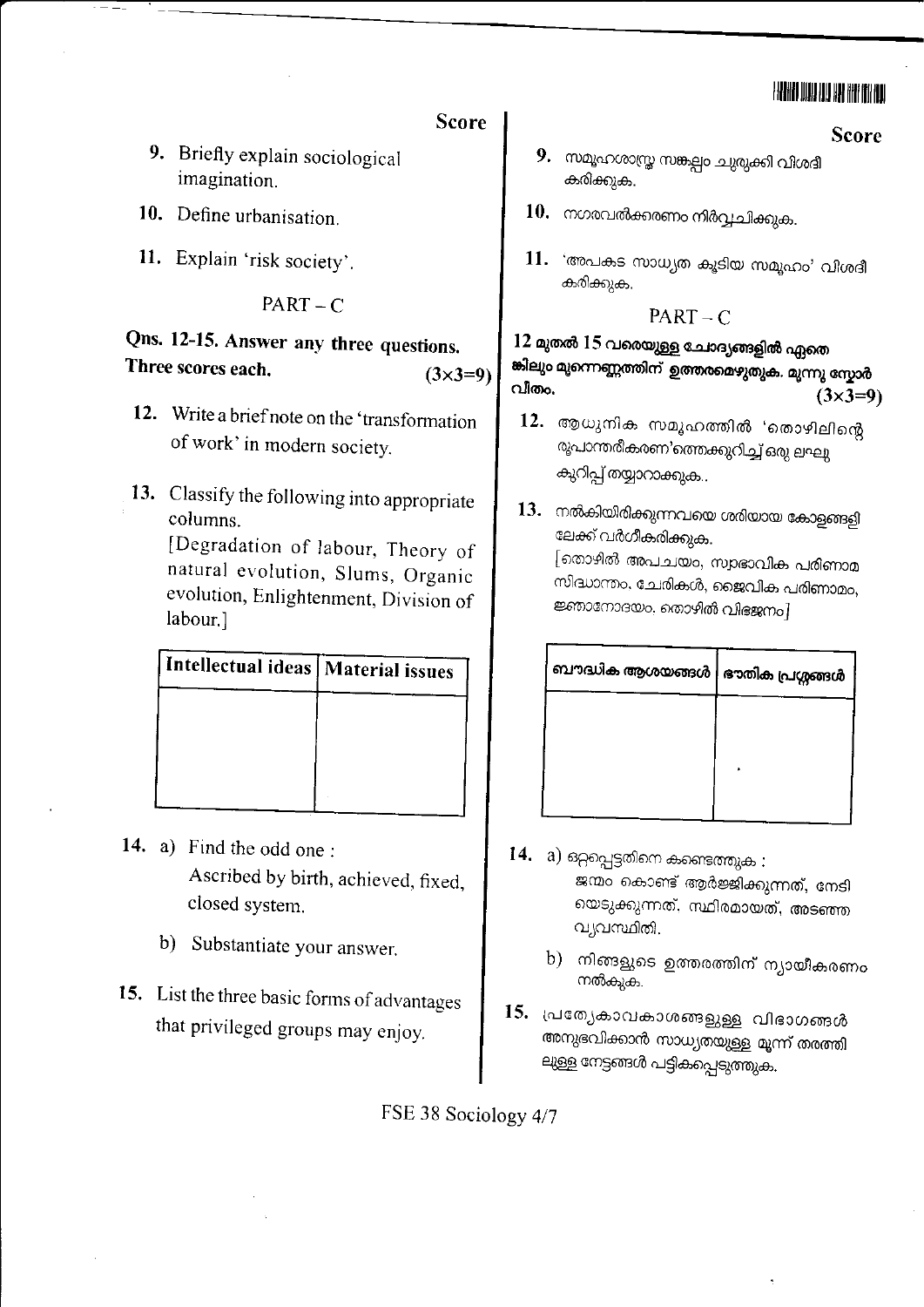## HANI WA UU AA HA III UU

#### **Score**

- 9. Briefly explain sociological imagination.
- 10. Define urbanisation.
- 11. Explain 'risk society'.

#### $PART - C$

#### Qns. 12-15. Answer any three questions. Three scores each.  $(3x3=9)$

- 12. Write a brief note on the 'transformation of work' in modern society.
- 13. Classify the following into appropriate columns.

[Degradation of labour, Theory of natural evolution, Slums, Organic evolution, Enlightenment, Division of labour.]

| Intellectual ideas   Material issues |
|--------------------------------------|
|                                      |
|                                      |
|                                      |
|                                      |

- 14. a) Find the odd one: Ascribed by birth, achieved, fixed, closed system.
	- b) Substantiate your answer.
- 15. List the three basic forms of advantages that privileged groups may enjoy.
- 9. സമൂഹശാസ്ത്ര സങ്കല്പം ചുരുക്കി വിശദീ കരിക്കുക.
- $10.$  നഗരവൽക്കരണം നിർവ്വചിക്കുക.
- 11. 'അപകട സാധ്യത കൂടിയ സമൂഹം' വിശദീ കരിക്കുക.

#### $PART - C$

#### 12 മുതൽ 15 വരെയുള്ള ചോദ്യങ്ങളിൽ ഏതെ .<br>ജിലും മൂന്നെണ്ണത്തിന് ഉത്തരമെഴുതുക. മൂന്നു സ്കോർ വീതം.  $(3\times3=9)$

- 12. ആധുനിക സമൂഹത്തിൽ 'തൊഴിലിന്റെ രൂപാന്തരീകരണ'ത്തെക്കുറിച്ച് ഒരു ലഘു കുറിപ്പ് തയ്യാറാക്കുക..
- 13. നൽകിയിരിക്കുന്നവയെ ശരിയായ കോളങ്ങളി ലേക്ക് വർഗീകരിക്കുക. [തൊഴിൽ അപചയം, സ്വാഭാവിക പരിണാമ സിദ്ധാന്തം, ചേരികൾ, ജൈവിക പരിണാമം, ജ്ഞാനോദയം, തൊഴിൽ വിഭജനം]

| ബൗദ്ധിക ആശയങ്ങൾ   ഭൗതിക പ്രശ്നങ്ങൾ |  |
|------------------------------------|--|
|                                    |  |
|                                    |  |
|                                    |  |

- $\bf{14.}$   $\bf{a)}$  ഒറ്റപ്പെട്ടതിനെ കണ്ടെത്തുക : ജന്മം കൊണ്ട് ആർജ്ജിക്കുന്നത്, നേടി യെടുക്കുന്നത്. സ്ഥിരമായത്, അടഞ്ഞ വ്യവസ്ഥിതി.
	- b) നിങ്ങളുടെ ഉത്തരത്തിന് ന്യായീകരണം നൽകുക.
- 15. പ്രത്യേകാവകാശങ്ങളുള്ള വിഭാഗങ്ങൾ അനുഭവിക്കാൻ സാധ്യതയുള്ള മൂന്ന് തരത്തി ലുള്ള നേട്ടങ്ങൾ പട്ടികപ്പെടുത്തുക.

FSE 38 Sociology 4/7

#### **Score**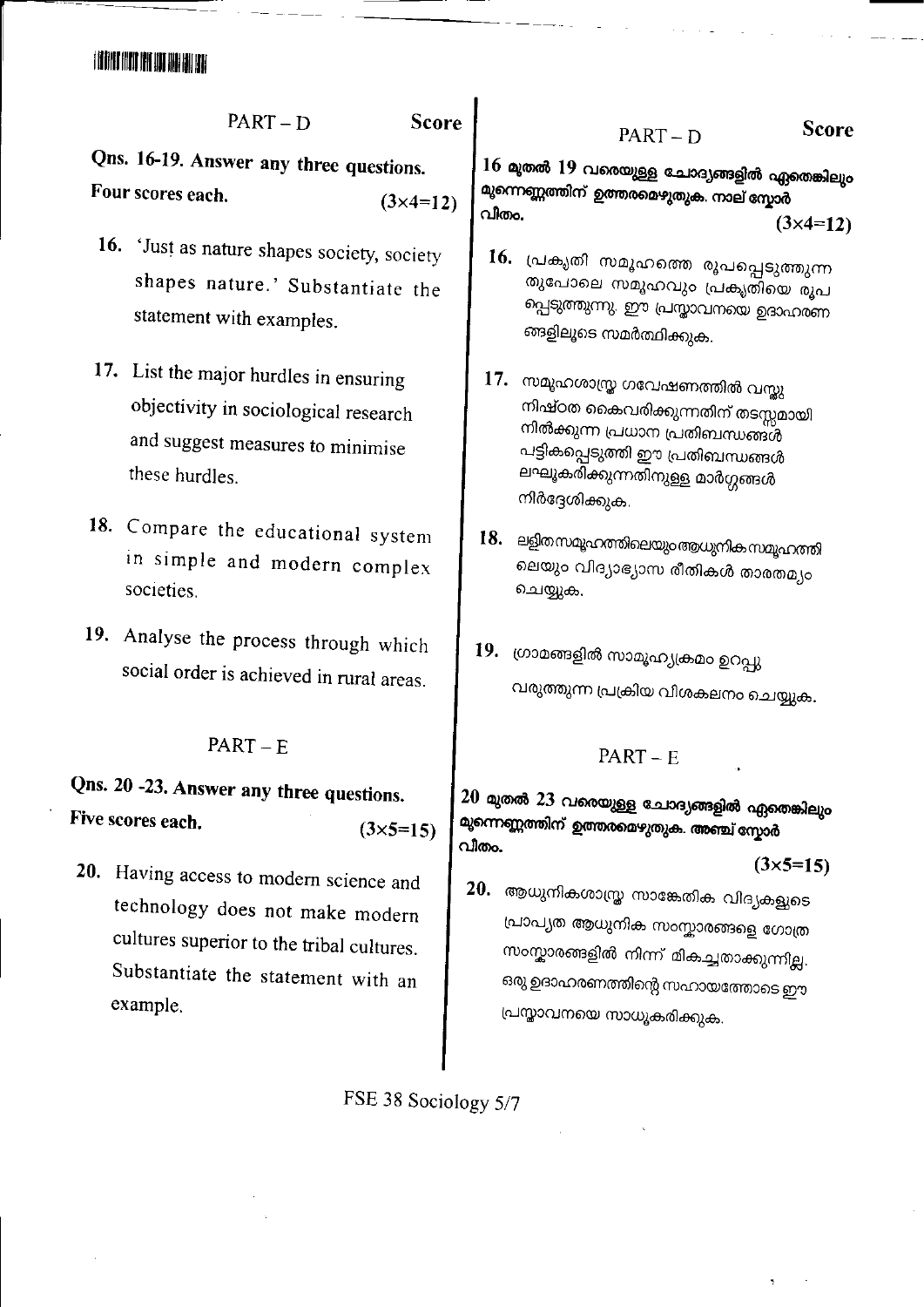## i din no munana

**Score**  $PART - D$ 

Qns. 16-19. Answer any three questions. Four scores each.  $(3\times 4=12)$ 

- 16. 'Just as nature shapes society, society shapes nature.' Substantiate the statement with examples.
- 17. List the major hurdles in ensuring objectivity in sociological research and suggest measures to minimise these hurdles.
- 18. Compare the educational system in simple and modern complex societies.
- 19. Analyse the process through which social order is achieved in rural areas.

#### $PART - E$

#### Qns. 20 -23. Answer any three questions. Five scores each.  $(3\times5=15)$

20. Having access to modern science and technology does not make modern cultures superior to the tribal cultures. Substantiate the statement with an example.

16 മുതൽ 19 വരെയുള്ള ചോദ്യങ്ങളിൽ ഏതെങ്കിലും മുന്നെണ്ണത്തിന് ഉത്തരമെഴുതുക. നാല് സ്കോർ വിതം.

 $PART - D$ 

 $(3\times 4=12)$ 

- 16. പ്രകൃതി സമൂഹത്തെ രൂപപ്പെടുത്തുന്ന തുപോലെ സമൂഹവും പ്രകൃതിയെ രൂപ പ്പെടുത്തുന്നു. ഈ പ്രസ്താവനയെ ഉദാഹരണ ങ്ങളിലൂടെ സമർത്ഥിക്കുക.
- 17. സമൂഹശാസ്ത്ര ഗവേഷണത്തിൽ വസ്തു നിഷ്ഠത കൈവരിക്കുന്നതിന് തടസ്സമായി നിൽക്കുന്ന പ്രധാന പ്രതിബന്ധങ്ങൾ പട്ടികപ്പെടുത്തി ഈ പ്രതിബന്ധങ്ങൾ ലഘൂകരിക്കുന്നതിനുള്ള മാർഗ്ഗങ്ങൾ നിർദ്ദേശിക്കുക.
- 18. ലളിതസമൂഹത്തിലെയും ആധുനികസമൂഹത്തി ലെയും വിദ്യാഭ്യാസ രീതികൾ താരതമ്യം ചെയ്യുക.
- 19. ഗ്രാമങ്ങളിൽ സാമൂഹ്യക്രമം ഉറപ്പു വരുത്തുന്ന പ്രക്രിയ വിശകലനം ചെയ്യുക.

#### $PART - E$

 $20$  മുതൽ  $23$  വരെയുള്ള ചോദ്യങ്ങളിൽ ഏതെങ്കിലും മുന്നെണ്ണത്തിന് ഉത്തരമെഴുതുക. അഞ്ച് സ്കോർ വീതം.

 $(3\times5=15)$ 

20. ആധുനികശാസ്ത്ര സാങ്കേതിക വിദ്യകളുടെ പ്രാപ്യത ആധുനിക സംസ്കാരങ്ങളെ ഗോത്ര സംസ്കാരങ്ങളിൽ നിന്ന് മികച്ചതാക്കുന്നില്ല. ഒരു ഉദാഹരണത്തിന്റെ സഹായത്തോടെ ഈ പ്രസ്താവനയെ സാധൂകരിക്കുക.

FSE 38 Sociology 5/7

**Score**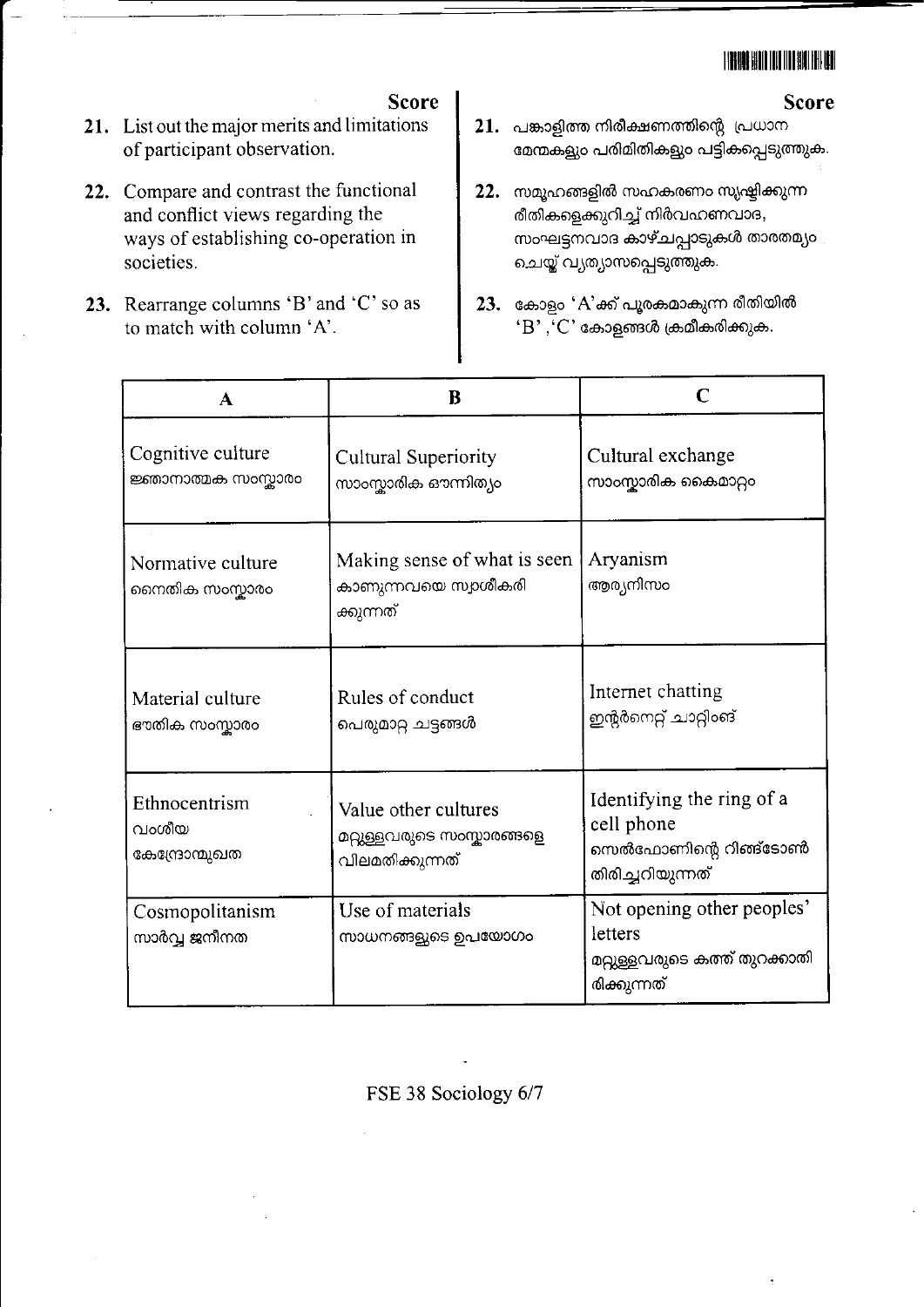# **TIBOLISHI ILI ILI ISLAMI**

#### **Score**

- **Score** 21. List out the major merits and limitations of participant observation.
- 22. Compare and contrast the functional and conflict views regarding the ways of establishing co-operation in societies.
- 23. Rearrange columns 'B' and 'C' so as to match with column 'A'.
- $21.$  പങ്കാളിത്ത നിരീക്ഷണത്തിന്റെ പ്രധാന മേന്മകളും പരിമിതികളും പട്ടികപ്പെടുത്തുക.
- 22. സമൂഹങ്ങളിൽ സഹകരണം സൃഷ്ടിക്കുന്ന രീതികളെക്കുറിച്ച് നിർവഹണവാദ, സംഘട്ടനവാദ കാഴ്ചപ്പാടുകൾ താരതമ്യം ചെയ്ത് വ്യത്യാസപ്പെടുത്തുക.
- 23. കോളം 'A'ക്ക് പൂരകമാകുന്ന രീതിയിൽ  $\cdot$ B'  $\cdot$   $\cdot$ C' കോളങ്ങൾ ക്രമീകരിക്കുക.

| $\mathbf A$                              | B                                                                     | C                                                                                     |
|------------------------------------------|-----------------------------------------------------------------------|---------------------------------------------------------------------------------------|
| Cognitive culture<br>ജ്ഞാനാത്മക സംസ്കാരം | Cultural Superiority<br>സാംസ്കാരിക ഔന്നിത്യം                          | Cultural exchange<br>സാംസ്കാരിക കൈമാറ്റം                                              |
| Normative culture<br>നൈതിക സംസ്കാരം      | Making sense of what is seen<br>കാണുന്നവയെ സ്വാശീകരി<br>ക്കുന്നത്     | Aryanism<br>ആര്യനിസം                                                                  |
| Material culture<br>ഭൗതിക സംസ്കാരം       | Rules of conduct<br>പെരുമാറ്റ ചട്ടങ്ങൾ                                | Internet chatting<br>ഇന്റർനെറ്റ് ചാറ്റിംങ്                                            |
| Ethnocentrism<br>വംശീയ<br>കേന്ദ്രോന്മുഖത | Value other cultures<br>മറ്റുള്ളവരുടെ സംസ്കാരങ്ങളെ<br>വിലമതിക്കുന്നത് | Identifying the ring of a<br>cell phone<br>സെൽഫോണിന്റെ റിങ്ങ്ടോൺ<br>തിരിച്ചറിയുന്നത്  |
| Cosmopolitanism<br>സാർവ്വ ജനീനത          | Use of materials<br>സാധനങ്ങളുടെ ഉപയോഗം                                | Not opening other peoples'<br>letters<br>മറ്റുള്ളവരുടെ കത്ത് തുറക്കാതി<br>രിക്കുന്നത് |

FSE 38 Sociology 6/7